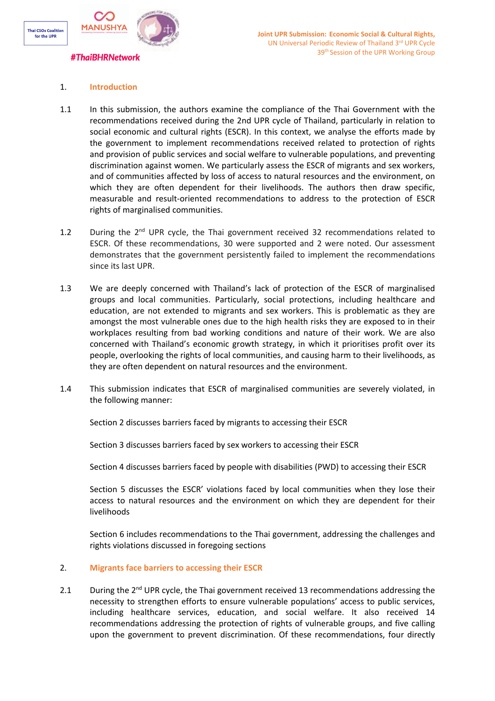

# 1. **Introduction**

- 1.1 In this submission, the authors examine the compliance of the Thai Government with the recommendations received during the 2nd UPR cycle of Thailand, particularly in relation to social economic and cultural rights (ESCR). In this context, we analyse the efforts made by the government to implement recommendations received related to protection of rights and provision of public services and social welfare to vulnerable populations, and preventing discrimination against women. We particularly assess the ESCR of migrants and sex workers, and of communities affected by loss of access to natural resources and the environment, on which they are often dependent for their livelihoods. The authors then draw specific, measurable and result-oriented recommendations to address to the protection of ESCR rights of marginalised communities.
- 1.2 During the 2<sup>nd</sup> UPR cycle, the Thai government received 32 recommendations related to ESCR. Of these recommendations, 30 were supported and 2 were noted. Our assessment demonstrates that the government persistently failed to implement the recommendations since its last UPR.
- 1.3 We are deeply concerned with Thailand'<sup>s</sup> lack of protection of the ESCR of marginalised groups and local communities. Particularly, social protections, including healthcare and education, are not extended to migrants and sex workers. This is problematic as they are amongst the most vulnerable ones due to the high health risks they are exposed to in their workplaces resulting from bad working conditions and nature of their work. We are also concerned with Thailand'<sup>s</sup> economic growth strategy, in which it prioritises profit over its people, overlooking the rights of local communities, and causing harm to their livelihoods, as they are often dependent on natural resources and the environment.
- 1.4 This submission indicates that ESCR of marginalised communities are severely violated, in the following manner:

Section 2 discusses barriers faced by migrants to accessing their ESCR

Section 3 discusses barriers faced by sex workers to accessing their ESCR

Section 4 discusses barriers faced by people with disabilities (PWD) to accessing their ESCR

Section 5 discusses the ESCR' violations faced by local communities when they lose their access to natural resources and the environment on which they are dependent for their livelihoods

Section 6 includes recommendations to the Thai government, addressing the challenges and rights violations discussed in foregoing sections

# 2. **Migrants face barriers to accessing their ESCR**

2.1 During the 2<sup>nd</sup> UPR cycle, the Thai government received 13 recommendations addressing the necessity to strengthen efforts to ensure vulnerable populations' access to public services, including healthcare services, education, and social welfare. It also received 14 recommendations addressing the protection of rights of vulnerable groups, and five calling upon the government to prevent discrimination. Of these recommendations, four directly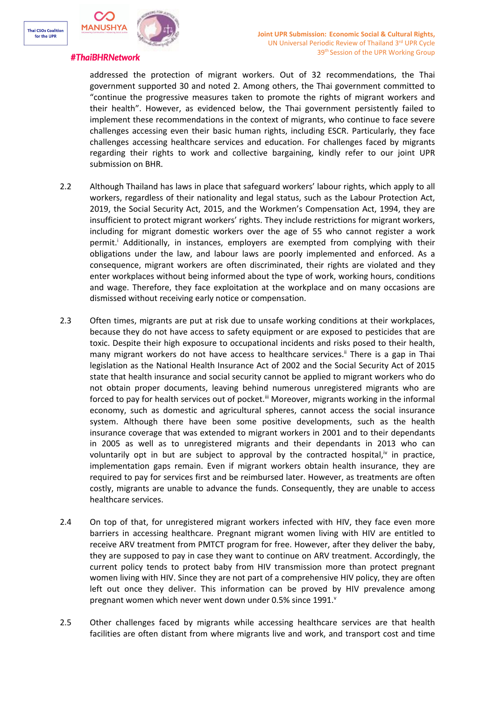



addressed the protection of migrant workers. Out of 32 recommendations, the Thai government supported 30 and noted 2. Among others, the Thai government committed to "continue the progressive measures taken to promote the rights of migrant workers and their health". However, as evidenced below, the Thai government persistently failed to implement these recommendations in the context of migrants, who continue to face severe challenges accessing even their basic human rights, including ESCR. Particularly, they face challenges accessing healthcare services and education. For challenges faced by migrants regarding their rights to work and collective bargaining, kindly refer to our joint UPR submission on BHR.

- 2.2 Although Thailand has laws in place that safeguard workers' labour rights, which apply to all workers, regardless of their nationality and legal status, such as the Labour Protection Act, 2019, the Social Security Act, 2015, and the Workmen'<sup>s</sup> Compensation Act, 1994, they are insufficient to protect migrant workers' rights. They include restrictions for migrant workers, including for migrant domestic workers over the age of 55 who cannot register <sup>a</sup> work permit. i Additionally, in instances, employers are exempted from complying with their obligations under the law, and labour laws are poorly implemented and enforced. As <sup>a</sup> consequence, migrant workers are often discriminated, their rights are violated and they enter workplaces without being informed about the type of work, working hours, conditions and wage. Therefore, they face exploitation at the workplace and on many occasions are dismissed without receiving early notice or compensation.
- 2.3 Often times, migrants are put at risk due to unsafe working conditions at their workplaces, because they do not have access to safety equipment or are exposed to pesticides that are toxic. Despite their high exposure to occupational incidents and risks posed to their health, many migrant workers do not have access to healthcare services.<sup>ii</sup> There is a gap in Thai legislation as the National Health Insurance Act of 2002 and the Social Security Act of 2015 state that health insurance and social security cannot be applied to migrant workers who do not obtain proper documents, leaving behind numerous unregistered migrants who are forced to pay for health services out of pocket.<sup>iii</sup> Moreover, migrants working in the informal economy, such as domestic and agricultural spheres, cannot access the social insurance system. Although there have been some positive developments, such as the health insurance coverage that was extended to migrant workers in 2001 and to their dependants in 2005 as well as to unregistered migrants and their dependants in 2013 who can voluntarily opt in but are subject to approval by the contracted hospital,<sup>iv</sup> in practice, implementation gaps remain. Even if migrant workers obtain health insurance, they are required to pay for services first and be reimbursed later. However, as treatments are often costly, migrants are unable to advance the funds. Consequently, they are unable to access healthcare services.
- 2.4 On top of that, for unregistered migrant workers infected with HIV, they face even more barriers in accessing healthcare. Pregnant migrant women living with HIV are entitled to receive ARV treatment from PMTCT program for free. However, after they deliver the baby, they are supposed to pay in case they want to continue on ARV treatment. Accordingly, the current policy tends to protect baby from HIV transmission more than protect pregnant women living with HIV. Since they are not part of <sup>a</sup> comprehensive HIV policy, they are often left out once they deliver. This information can be proved by HIV prevalence among pregnant women which never went down under 0.5% since 1991. $^{\text{v}}$
- 2.5 Other challenges faced by migrants while accessing healthcare services are that health facilities are often distant from where migrants live and work, and transport cost and time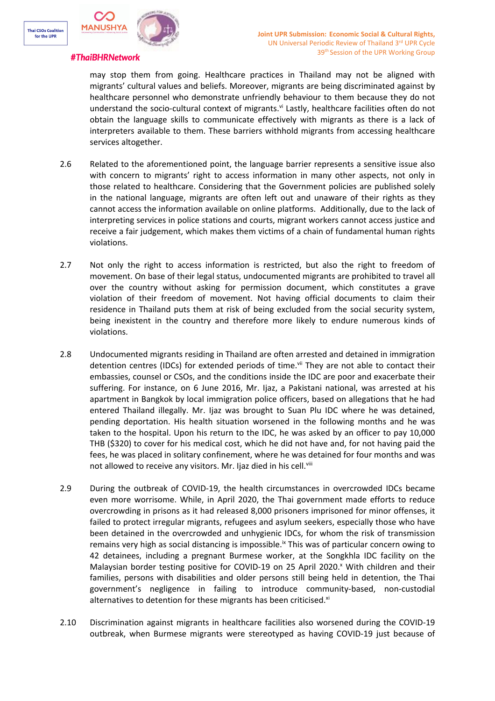

may stop them from going. Healthcare practices in Thailand may not be aligned with migrants' cultural values and beliefs. Moreover, migrants are being discriminated against by healthcare personnel who demonstrate unfriendly behaviour to them because they do not understand the socio-cultural context of migrants.<sup>vi</sup> Lastly, healthcare facilities often do not obtain the language skills to communicate effectively with migrants as there is <sup>a</sup> lack of interpreters available to them. These barriers withhold migrants from accessing healthcare services altogether.

- 2.6 Related to the aforementioned point, the language barrier represents <sup>a</sup> sensitive issue also with concern to migrants' right to access information in many other aspects, not only in those related to healthcare. Considering that the Government policies are published solely in the national language, migrants are often left out and unaware of their rights as they cannot access the information available on online platforms. Additionally, due to the lack of interpreting services in police stations and courts, migrant workers cannot access justice and receive <sup>a</sup> fair judgement, which makes them victims of <sup>a</sup> chain of fundamental human rights violations.
- 2.7 Not only the right to access information is restricted, but also the right to freedom of movement. On base of their legal status, undocumented migrants are prohibited to travel all over the country without asking for permission document, which constitutes <sup>a</sup> grave violation of their freedom of movement. Not having official documents to claim their residence in Thailand puts them at risk of being excluded from the social security system, being inexistent in the country and therefore more likely to endure numerous kinds of violations.
- 2.8 Undocumented migrants residing in Thailand are often arrested and detained in immigration detention centres (IDCs) for extended periods of time.<sup>vii</sup> They are not able to contact their embassies, counsel or CSOs, and the conditions inside the IDC are poor and exacerbate their suffering. For instance, on 6 June 2016, Mr. Ijaz, <sup>a</sup> Pakistani national, was arrested at his apartment in Bangkok by local immigration police officers, based on allegations that he had entered Thailand illegally. Mr. Ijaz was brought to Suan Plu IDC where he was detained, pending deportation. His health situation worsened in the following months and he was taken to the hospital. Upon his return to the IDC, he was asked by an officer to pay 10,000 THB (\$320) to cover for his medical cost, which he did not have and, for not having paid the fees, he was placed in solitary confinement, where he was detained for four months and was not allowed to receive any visitors. Mr. Ijaz died in his cell.''iii
- 2.9 During the outbreak of COVID-19, the health circumstances in overcrowded IDCs became even more worrisome. While, in April 2020, the Thai government made efforts to reduce overcrowding in prisons as it had released 8,000 prisoners imprisoned for minor offenses, it failed to protect irregular migrants, refugees and asylum seekers, especially those who have been detained in the overcrowded and unhygienic IDCs, for whom the risk of transmission remains very high as social distancing is impossible.<sup>ix</sup> This was of particular concern owing to 42 detainees, including <sup>a</sup> pregnant Burmese worker, at the Songkhla IDC facility on the Malaysian border testing positive for COVID-19 on 25 April 2020. <sup>x</sup> With children and their families, persons with disabilities and older persons still being held in detention, the Thai government'<sup>s</sup> negligence in failing to introduce community-based, non-custodial alternatives to detention for these migrants has been criticised. $^{\text{xi}}$
- 2.10 Discrimination against migrants in healthcare facilities also worsened during the COVID-19 outbreak, when Burmese migrants were stereotyped as having COVID-19 just because of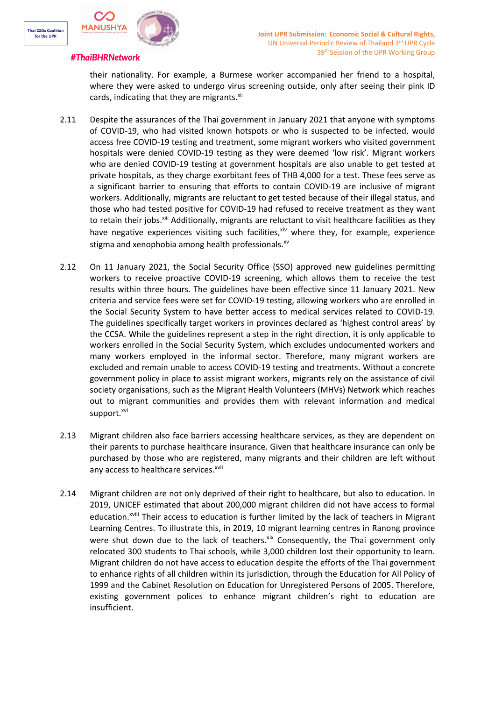



their nationality. For example, <sup>a</sup> Burmese worker accompanied her friend to <sup>a</sup> hospital, where they were asked to undergo virus screening outside, only after seeing their pink ID cards, indicating that they are migrants.<sup>xii</sup>

- 2.11 Despite the assurances of the Thai government in January 2021 that anyone with symptoms of COVID-19, who had visited known hotspots or who is suspected to be infected, would access free COVID-19 testing and treatment, some migrant workers who visited government hospitals were denied COVID-19 testing as they were deemed 'low risk'. Migrant workers who are denied COVID-19 testing at government hospitals are also unable to get tested at private hospitals, as they charge exorbitant fees of THB 4,000 for <sup>a</sup> test. These fees serve as <sup>a</sup> significant barrier to ensuring that efforts to contain COVID-19 are inclusive of migrant workers. Additionally, migrants are reluctant to get tested because of their illegal status, and those who had tested positive for COVID-19 had refused to receive treatment as they want to retain their jobs.<sup>xiii</sup> Additionally, migrants are reluctant to visit healthcare facilities as they have negative experiences visiting such facilities,<sup>xiv</sup> where they, for example, experience stigma and xenophobia among health professionals. xv
- 2.12 On 11 January 2021, the Social Security Office (SSO) approved new guidelines permitting workers to receive proactive COVID-19 screening, which allows them to receive the test results within three hours. The guidelines have been effective since 11 January 2021. New criteria and service fees were set for COVID-19 testing, allowing workers who are enrolled in the Social Security System to have better access to medical services related to COVID-19. The guidelines specifically target workers in provinces declared as 'highest control areas' by the CCSA. While the guidelines represent <sup>a</sup> step in the right direction, it is only applicable to workers enrolled in the Social Security System, which excludes undocumented workers and many workers employed in the informal sector. Therefore, many migrant workers are excluded and remain unable to access COVID-19 testing and treatments. Without <sup>a</sup> concrete government policy in place to assist migrant workers, migrants rely on the assistance of civil society organisations, such as the Migrant Health Volunteers (MHVs) Network which reaches out to migrant communities and provides them with relevant information and medical support.<sup>xvi</sup>
- 2.13 Migrant children also face barriers accessing healthcare services, as they are dependent on their parents to purchase healthcare insurance. Given that healthcare insurance can only be purchased by those who are registered, many migrants and their children are left without any access to healthcare services.<sup>xvii</sup>
- 2.14 Migrant children are not only deprived of their right to healthcare, but also to education. In 2019, UNICEF estimated that about 200,000 migrant children did not have access to formal education.<sup>xviii</sup> Their access to education is further limited by the lack of teachers in Migrant Learning Centres. To illustrate this, in 2019, 10 migrant learning centres in Ranong province were shut down due to the lack of teachers. Xix Consequently, the Thai government only relocated 300 students to Thai schools, while 3,000 children lost their opportunity to learn. Migrant children do not have access to education despite the efforts of the Thai government to enhance rights of all children within its jurisdiction, through the Education for All Policy of 1999 and the Cabinet Resolution on Education for Unregistered Persons of 2005. Therefore, existing government polices to enhance migrant children'<sup>s</sup> right to education are insufficient.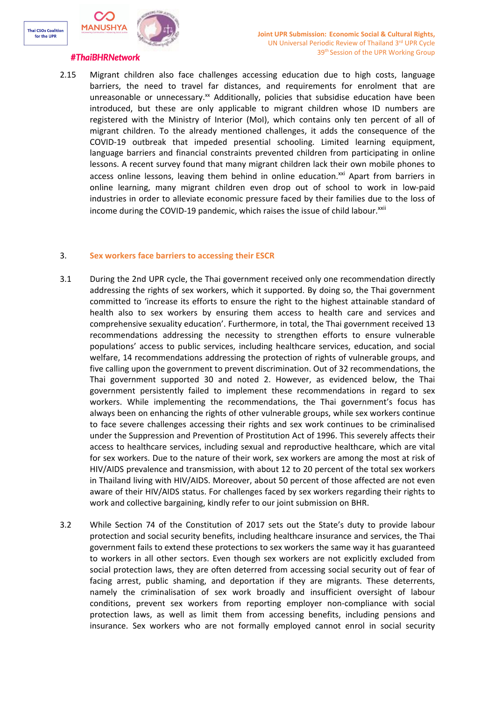

2.15 Migrant children also face challenges accessing education due to high costs, language barriers, the need to travel far distances, and requirements for enrolment that are unreasonable or unnecessary.<sup>xx</sup> Additionally, policies that subsidise education have been introduced, but these are only applicable to migrant children whose ID numbers are registered with the Ministry of Interior (MoI), which contains only ten percent of all of migrant children. To the already mentioned challenges, it adds the consequence of the COVID-19 outbreak that impeded presential schooling. Limited learning equipment, language barriers and financial constraints prevented children from participating in online lessons. A recent survey found that many migrant children lack their own mobile phones to access online lessons, leaving them behind in online education.<sup>xxi</sup> Apart from barriers in online learning, many migrant children even drop out of school to work in low-paid industries in order to alleviate economic pressure faced by their families due to the loss of income during the COVID-19 pandemic, which raises the issue of child labour.<sup>xxii</sup>

# 3. **Sex workers face barriers to accessing their ESCR**

- 3.1 During the 2nd UPR cycle, the Thai government received only one recommendation directly addressing the rights of sex workers, which it supported. By doing so, the Thai government committed to 'increase its efforts to ensure the right to the highest attainable standard of health also to sex workers by ensuring them access to health care and services and comprehensive sexuality education'. Furthermore, in total, the Thai government received 13 recommendations addressing the necessity to strengthen efforts to ensure vulnerable populations' access to public services, including healthcare services, education, and social welfare, 14 recommendations addressing the protection of rights of vulnerable groups, and five calling upon the government to prevent discrimination. Out of 32 recommendations, the Thai government supported 30 and noted 2. However, as evidenced below, the Thai government persistently failed to implement these recommendations in regard to sex workers. While implementing the recommendations, the Thai government'<sup>s</sup> focus has always been on enhancing the rights of other vulnerable groups, while sex workers continue to face severe challenges accessing their rights and sex work continues to be criminalised under the Suppression and Prevention of Prostitution Act of 1996. This severely affects their access to healthcare services, including sexual and reproductive healthcare, which are vital for sex workers. Due to the nature of their work, sex workers are among the most at risk of HIV/AIDS prevalence and transmission, with about 12 to 20 percent of the total sex workers in Thailand living with HIV/AIDS. Moreover, about 50 percent of those affected are not even aware of their HIV/AIDS status. For challenges faced by sex workers regarding their rights to work and collective bargaining, kindly refer to our joint submission on BHR.
- 3.2 While Section 74 of the Constitution of 2017 sets out the State'<sup>s</sup> duty to provide labour protection and social security benefits, including healthcare insurance and services, the Thai government fails to extend these protections to sex workers the same way it has guaranteed to workers in all other sectors. Even though sex workers are not explicitly excluded from social protection laws, they are often deterred from accessing social security out of fear of facing arrest, public shaming, and deportation if they are migrants. These deterrents, namely the criminalisation of sex work broadly and insufficient oversight of labour conditions, prevent sex workers from reporting employer non-compliance with social protection laws, as well as limit them from accessing benefits, including pensions and insurance. Sex workers who are not formally employed cannot enrol in social security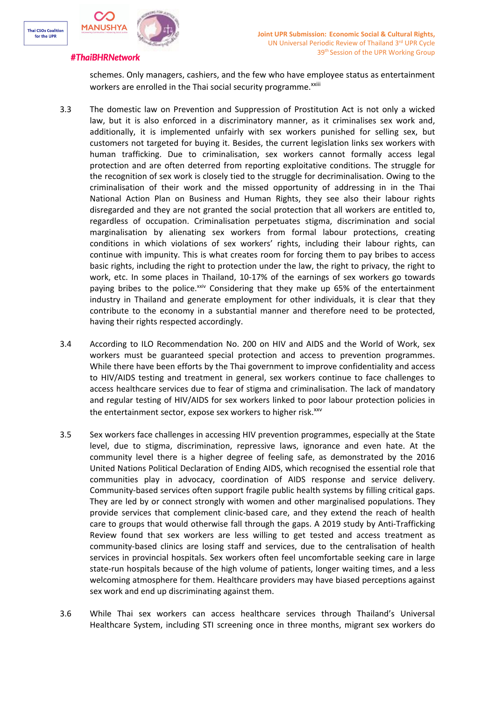



schemes. Only managers, cashiers, and the few who have employee status as entertainment workers are enrolled in the Thai social security programme.<sup>xxiii</sup>

- 3.3 The domestic law on Prevention and Suppression of Prostitution Act is not only <sup>a</sup> wicked law, but it is also enforced in <sup>a</sup> discriminatory manner, as it criminalises sex work and, additionally, it is implemented unfairly with sex workers punished for selling sex, but customers not targeted for buying it. Besides, the current legislation links sex workers with human trafficking. Due to criminalisation, sex workers cannot formally access legal protection and are often deterred from reporting exploitative conditions. The struggle for the recognition of sex work is closely tied to the struggle for decriminalisation. Owing to the criminalisation of their work and the missed opportunity of addressing in in the Thai National Action Plan on Business and Human Rights, they see also their labour rights disregarded and they are not granted the social protection that all workers are entitled to, regardless of occupation. Criminalisation perpetuates stigma, discrimination and social marginalisation by alienating sex workers from formal labour protections, creating conditions in which violations of sex workers' rights, including their labour rights, can continue with impunity. This is what creates room for forcing them to pay bribes to access basic rights, including the right to protection under the law, the right to privacy, the right to work, etc. In some places in Thailand, 10-17% of the earnings of sex workers go towards paying bribes to the police.<sup>xxiv</sup> Considering that they make up 65% of the entertainment industry in Thailand and generate employment for other individuals, it is clear that they contribute to the economy in <sup>a</sup> substantial manner and therefore need to be protected, having their rights respected accordingly.
- 3.4 According to ILO Recommendation No. 200 on HIV and AIDS and the World of Work, sex workers must be guaranteed special protection and access to prevention programmes. While there have been efforts by the Thai government to improve confidentiality and access to HIV/AIDS testing and treatment in general, sex workers continue to face challenges to access healthcare services due to fear of stigma and criminalisation. The lack of mandatory and regular testing of HIV/AIDS for sex workers linked to poor labour protection policies in the entertainment sector, expose sex workers to higher risk.<sup>xxv</sup>
- 3.5 Sex workers face challenges in accessing HIV prevention programmes, especially at the State level, due to stigma, discrimination, repressive laws, ignorance and even hate. At the community level there is <sup>a</sup> higher degree of feeling safe, as demonstrated by the 2016 United Nations Political Declaration of Ending AIDS, which recognised the essential role that communities play in advocacy, coordination of AIDS response and service delivery. Community-based services often support fragile public health systems by filling critical gaps. They are led by or connect strongly with women and other marginalised populations. They provide services that complement clinic-based care, and they extend the reach of health care to groups that would otherwise fall through the gaps. A 2019 study by Anti-Trafficking Review found that sex workers are less willing to get tested and access treatment as community-based clinics are losing staff and services, due to the centralisation of health services in provincial hospitals. Sex workers often feel uncomfortable seeking care in large state-run hospitals because of the high volume of patients, longer waiting times, and <sup>a</sup> less welcoming atmosphere for them. Healthcare providers may have biased perceptions against sex work and end up discriminating against them.
- 3.6 While Thai sex workers can access healthcare services through Thailand'<sup>s</sup> Universal Healthcare System, including STI screening once in three months, migrant sex workers do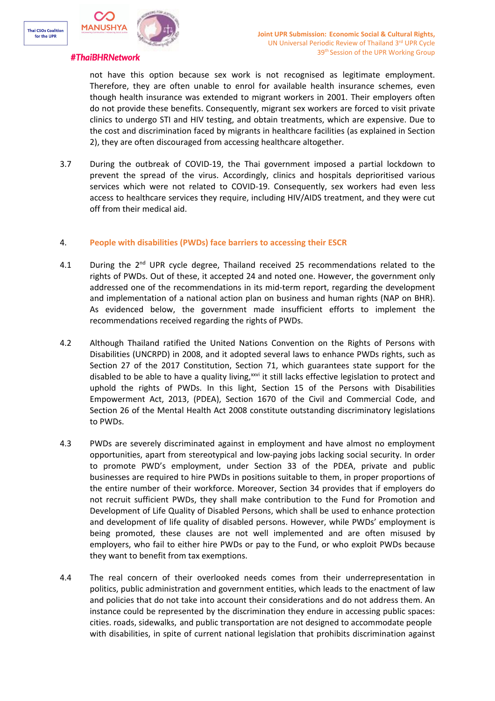

not have this option because sex work is not recognised as legitimate employment. Therefore, they are often unable to enrol for available health insurance schemes, even though health insurance was extended to migrant workers in 2001. Their employers often do not provide these benefits. Consequently, migrant sex workers are forced to visit private clinics to undergo STI and HIV testing, and obtain treatments, which are expensive. Due to the cost and discrimination faced by migrants in healthcare facilities (as explained in Section 2), they are often discouraged from accessing healthcare altogether.

3.7 During the outbreak of COVID-19, the Thai government imposed <sup>a</sup> partial lockdown to prevent the spread of the virus. Accordingly, clinics and hospitals deprioritised various services which were not related to COVID-19. Consequently, sex workers had even less access to healthcare services they require, including HIV/AIDS treatment, and they were cut off from their medical aid.

# 4. **People with disabilities (PWDs) face barriers to accessing their ESCR**

- 4.1 During the 2<sup>nd</sup> UPR cycle degree, Thailand received 25 recommendations related to the rights of PWDs. Out of these, it accepted 24 and noted one. However, the government only addressed one of the recommendations in its mid-term report, regarding the development and implementation of <sup>a</sup> national action plan on business and human rights (NAP on BHR). As evidenced below, the government made insufficient efforts to implement the recommendations received regarding the rights of PWDs.
- 4.2 Although Thailand ratified the United Nations Convention on the Rights of Persons with Disabilities (UNCRPD) in 2008, and it adopted several laws to enhance PWDs rights, such as Section 27 of the 2017 Constitution, Section 71, which guarantees state support for the disabled to be able to have a quality living,<sup>xxvi</sup> it still lacks effective legislation to protect and uphold the rights of PWDs. In this light, Section 15 of the Persons with Disabilities Empowerment Act, 2013, (PDEA), Section 1670 of the Civil and Commercial Code, and Section 26 of the Mental Health Act 2008 constitute outstanding discriminatory legislations to PWDs.
- 4.3 PWDs are severely discriminated against in employment and have almost no employment opportunities, apart from stereotypical and low-paying jobs lacking social security. In order to promote PWD'<sup>s</sup> employment, under Section 33 of the PDEA, private and public businesses are required to hire PWDs in positions suitable to them, in proper proportions of the entire number of their workforce. Moreover, Section 34 provides that if employers do not recruit sufficient PWDs, they shall make contribution to the Fund for Promotion and Development of Life Quality of Disabled Persons, which shall be used to enhance protection and development of life quality of disabled persons. However, while PWDs' employment is being promoted, these clauses are not well implemented and are often misused by employers, who fail to either hire PWDs or pay to the Fund, or who exploit PWDs because they want to benefit from tax exemptions.
- 4.4 The real concern of their overlooked needs comes from their underrepresentation in politics, public administration and government entities, which leads to the enactment of law and policies that do not take into account their considerations and do not address them. An instance could be represented by the discrimination they endure in accessing public spaces: cities. roads, sidewalks, and public transportation are not designed to accommodate people with disabilities, in spite of current national legislation that prohibits discrimination against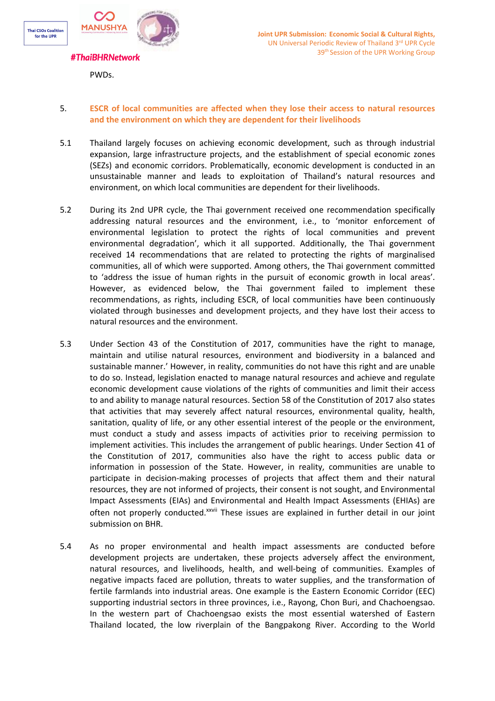

PWDs.

# 5. **ESCR of local communities are affected when they lose their access to natural resources and the environment on which they are dependent for their livelihoods**

- 5.1 Thailand largely focuses on achieving economic development, such as through industrial expansion, large infrastructure projects, and the establishment of special economic zones (SEZs) and economic corridors. Problematically, economic development is conducted in an unsustainable manner and leads to exploitation of Thailand'<sup>s</sup> natural resources and environment, on which local communities are dependent for their livelihoods.
- 5.2 During its 2nd UPR cycle, the Thai government received one recommendation specifically addressing natural resources and the environment, i.e., to 'monitor enforcement of environmental legislation to protect the rights of local communities and prevent environmental degradation', which it all supported. Additionally, the Thai government received 14 recommendations that are related to protecting the rights of marginalised communities, all of which were supported. Among others, the Thai government committed to 'address the issue of human rights in the pursuit of economic growth in local areas'. However, as evidenced below, the Thai government failed to implement these recommendations, as rights, including ESCR, of local communities have been continuously violated through businesses and development projects, and they have lost their access to natural resources and the environment.
- 5.3 Under Section 43 of the Constitution of 2017, communities have the right to manage, maintain and utilise natural resources, environment and biodiversity in <sup>a</sup> balanced and sustainable manner.' However, in reality, communities do not have this right and are unable to do so. Instead, legislation enacted to manage natural resources and achieve and regulate economic development cause violations of the rights of communities and limit their access to and ability to manage natural resources. Section 58 of the Constitution of 2017 also states that activities that may severely affect natural resources, environmental quality, health, sanitation, quality of life, or any other essential interest of the people or the environment, must conduct <sup>a</sup> study and assess impacts of activities prior to receiving permission to implement activities. This includes the arrangement of public hearings. Under Section 41 of the Constitution of 2017, communities also have the right to access public data or information in possession of the State. However, in reality, communities are unable to participate in decision-making processes of projects that affect them and their natural resources, they are not informed of projects, their consent is not sought, and Environmental Impact Assessments (EIAs) and Environmental and Health Impact Assessments (EHIAs) are often not properly conducted.<sup>xxvii</sup> These issues are explained in further detail in our joint submission on BHR.
- 5.4 As no proper environmental and health impact assessments are conducted before development projects are undertaken, these projects adversely affect the environment, natural resources, and livelihoods, health, and well-being of communities. Examples of negative impacts faced are pollution, threats to water supplies, and the transformation of fertile farmlands into industrial areas. One example is the Eastern Economic Corridor (EEC) supporting industrial sectors in three provinces, i.e., Rayong, Chon Buri, and Chachoengsao. In the western part of Chachoengsao exists the most essential watershed of Eastern Thailand located, the low riverplain of the Bangpakong River. According to the World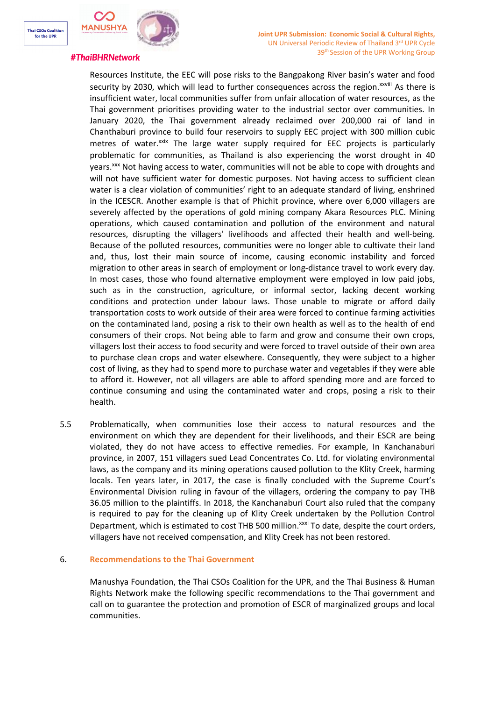

Resources Institute, the EEC will pose risks to the Bangpakong River basin'<sup>s</sup> water and food security by 2030, which will lead to further consequences across the region.<sup>xxviii</sup> As there is insufficient water, local communities suffer from unfair allocation of water resources, as the Thai government prioritises providing water to the industrial sector over communities. In January 2020, the Thai government already reclaimed over 200,000 rai of land in Chanthaburi province to build four reservoirs to supply EEC project with 300 million cubic metres of water.<sup>xxix</sup> The large water supply required for EEC projects is particularly problematic for communities, as Thailand is also experiencing the worst drought in 40 years.<sup>xxx</sup> Not having access to water, communities will not be able to cope with droughts and will not have sufficient water for domestic purposes. Not having access to sufficient clean water is <sup>a</sup> clear violation of communities' right to an adequate standard of living, enshrined in the ICESCR. Another example is that of Phichit province, where over 6,000 villagers are severely affected by the operations of gold mining company Akara Resources PLC. Mining operations, which caused contamination and pollution of the environment and natural resources, disrupting the villagers' livelihoods and affected their health and well-being. Because of the polluted resources, communities were no longer able to cultivate their land and, thus, lost their main source of income, causing economic instability and forced migration to other areas in search of employment or long-distance travel to work every day. In most cases, those who found alternative employment were employed in low paid jobs, such as in the construction, agriculture, or informal sector, lacking decent working conditions and protection under labour laws. Those unable to migrate or afford daily transportation costs to work outside of their area were forced to continue farming activities on the contaminated land, posing <sup>a</sup> risk to their own health as well as to the health of end consumers of their crops. Not being able to farm and grow and consume their own crops, villagers lost their access to food security and were forced to travel outside of their own area to purchase clean crops and water elsewhere. Consequently, they were subject to <sup>a</sup> higher cost of living, as they had to spend more to purchase water and vegetables if they were able to afford it. However, not all villagers are able to afford spending more and are forced to continue consuming and using the contaminated water and crops, posing <sup>a</sup> risk to their health.

5.5 Problematically, when communities lose their access to natural resources and the environment on which they are dependent for their livelihoods, and their ESCR are being violated, they do not have access to effective remedies. For example, In Kanchanaburi province, in 2007, 151 villagers sued Lead Concentrates Co. Ltd. for violating environmental laws, as the company and its mining operations caused pollution to the Klity Creek, harming locals. Ten years later, in 2017, the case is finally concluded with the Supreme Court'<sup>s</sup> Environmental Division ruling in favour of the villagers, ordering the company to pay THB 36.05 million to the plaintiffs. In 2018, the Kanchanaburi Court also ruled that the company is required to pay for the cleaning up of Klity Creek undertaken by the Pollution Control Department, which is estimated to cost THB 500 million.<sup>xxxi</sup> To date, despite the court orders, villagers have not received compensation, and Klity Creek has not been restored.

# 6. **Recommendations to the Thai Government**

Manushya Foundation, the Thai CSOs Coalition for the UPR, and the Thai Business & Human Rights Network make the following specific recommendations to the Thai government and call on to guarantee the protection and promotion of ESCR of marginalized groups and local communities.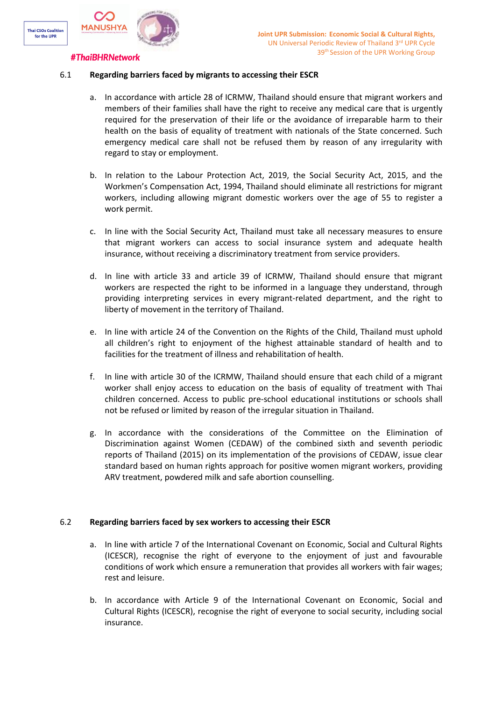

# 6.1 **Regarding barriers faced by migrants to accessing their ESCR**

- a. In accordance with article 28 of ICRMW, Thailand should ensure that migrant workers and members of their families shall have the right to receive any medical care that is urgently required for the preservation of their life or the avoidance of irreparable harm to their health on the basis of equality of treatment with nationals of the State concerned. Such emergency medical care shall not be refused them by reason of any irregularity with regard to stay or employment.
- b. In relation to the Labour Protection Act, 2019, the Social Security Act, 2015, and the Workmen'<sup>s</sup> Compensation Act, 1994, Thailand should eliminate all restrictions for migrant workers, including allowing migrant domestic workers over the age of 55 to register <sup>a</sup> work permit.
- c. In line with the Social Security Act, Thailand must take all necessary measures to ensure that migrant workers can access to social insurance system and adequate health insurance, without receiving <sup>a</sup> discriminatory treatment from service providers.
- d. In line with article 33 and article 39 of ICRMW, Thailand should ensure that migrant workers are respected the right to be informed in <sup>a</sup> language they understand, through providing interpreting services in every migrant-related department, and the right to liberty of movement in the territory of Thailand.
- e. In line with article 24 of the Convention on the Rights of the Child, Thailand must uphold all children'<sup>s</sup> right to enjoyment of the highest attainable standard of health and to facilities for the treatment of illness and rehabilitation of health.
- f. In line with article 30 of the ICRMW, Thailand should ensure that each child of <sup>a</sup> migrant worker shall enjoy access to education on the basis of equality of treatment with Thai children concerned. Access to public pre-school educational institutions or schools shall not be refused or limited by reason of the irregular situation in Thailand.
- g. In accordance with the considerations of the Committee on the Elimination of Discrimination against Women (CEDAW) of the combined sixth and seventh periodic reports of Thailand (2015) on its implementation of the provisions of CEDAW, issue clear standard based on human rights approach for positive women migrant workers, providing ARV treatment, powdered milk and safe abortion counselling.

# 6.2 **Regarding barriers faced by sex workers to accessing their ESCR**

- a. In line with article 7 of the International Covenant on Economic, Social and Cultural Rights (ICESCR), recognise the right of everyone to the enjoyment of just and favourable conditions of work which ensure <sup>a</sup> remuneration that provides all workers with fair wages; rest and leisure.
- b. In accordance with Article 9 of the International Covenant on Economic, Social and Cultural Rights (ICESCR), recognise the right of everyone to social security, including social insurance.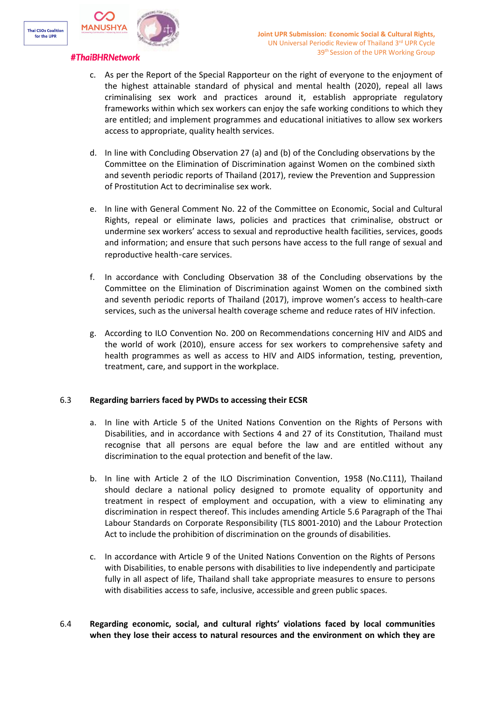

- c. As per the Report of the Special Rapporteur on the right of everyone to the enjoyment of the highest attainable standard of physical and mental health (2020), repeal all laws criminalising sex work and practices around it, establish appropriate regulatory frameworks within which sex workers can enjoy the safe working conditions to which they are entitled; and implement programmes and educational initiatives to allow sex workers access to appropriate, quality health services.
- d. In line with Concluding Observation 27 (a) and (b) of the Concluding observations by the Committee on the Elimination of Discrimination against Women on the combined sixth and seventh periodic reports of Thailand (2017), review the Prevention and Suppression of Prostitution Act to decriminalise sex work.
- e. In line with General Comment No. 22 of the Committee on Economic, Social and Cultural Rights, repeal or eliminate laws, policies and practices that criminalise, obstruct or undermine sex workers' access to sexual and reproductive health facilities, services, goods and information; and ensure that such persons have access to the full range of sexual and reproductive health-care services.
- f. In accordance with Concluding Observation 38 of the Concluding observations by the Committee on the Elimination of Discrimination against Women on the combined sixth and seventh periodic reports of Thailand (2017), improve women'<sup>s</sup> access to health-care services, such as the universal health coverage scheme and reduce rates of HIV infection.
- g. According to ILO Convention No. 200 on Recommendations concerning HIV and AIDS and the world of work (2010), ensure access for sex workers to comprehensive safety and health programmes as well as access to HIV and AIDS information, testing, prevention, treatment, care, and support in the workplace.

# 6.3 **Regarding barriers faced by PWDs to accessing their ECSR**

- a. In line with Article 5 of the United Nations Convention on the Rights of Persons with Disabilities, and in accordance with Sections 4 and 27 of its Constitution, Thailand must recognise that all persons are equal before the law and are entitled without any discrimination to the equal protection and benefit of the law.
- b. In line with Article 2 of the ILO Discrimination Convention, 1958 (No.C111), Thailand should declare <sup>a</sup> national policy designed to promote equality of opportunity and treatment in respect of employment and occupation, with <sup>a</sup> view to eliminating any discrimination in respect thereof. This includes amending Article 5.6 Paragraph of the Thai Labour Standards on Corporate Responsibility (TLS 8001-2010) and the Labour Protection Act to include the prohibition of discrimination on the grounds of disabilities.
- c. In accordance with Article 9 of the United Nations Convention on the Rights of Persons with Disabilities, to enable persons with disabilities to live independently and participate fully in all aspect of life, Thailand shall take appropriate measures to ensure to persons with disabilities access to safe, inclusive, accessible and green public spaces.
- 6.4 **Regarding economic, social, and cultural rights' violations faced by local communities when they lose their access to natural resources and the environment on which they are**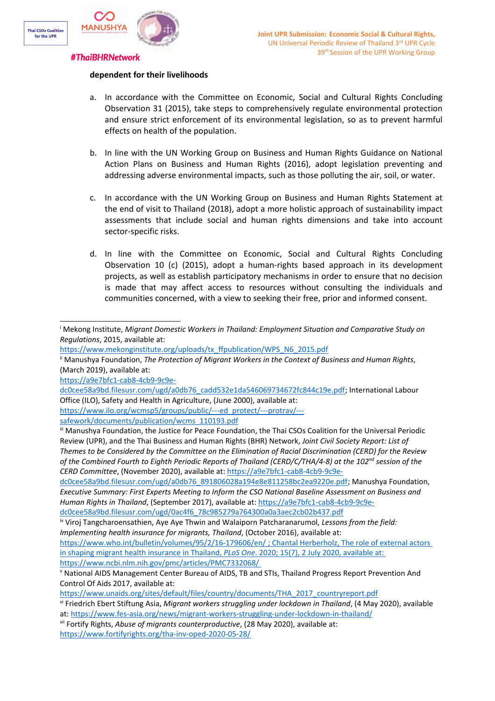

# **dependent for their livelihoods**

- a. In accordance with the Committee on Economic, Social and Cultural Rights Concluding Observation 31 (2015), take steps to comprehensively regulate environmental protection and ensure strict enforcement of its environmental legislation, so as to prevent harmful effects on health of the population.
- b. In line with the UN Working Group on Business and Human Rights Guidance on National Action Plans on Business and Human Rights (2016), adopt legislation preventing and addressing adverse environmental impacts, such as those polluting the air, soil, or water.
- c. In accordance with the UN Working Group on Business and Human Rights Statement at the end of visit to Thailand (2018), adopt <sup>a</sup> more holistic approach of sustainability impact assessments that include social and human rights dimensions and take into account sector-specific risks.
- d. In line with the Committee on Economic, Social and Cultural Rights Concluding Observation 10 (c) (2015), adopt <sup>a</sup> human-rights based approach in its development projects, as well as establish participatory mechanisms in order to ensure that no decision is made that may affect access to resources without consulting the individuals and communities concerned, with <sup>a</sup> view to seeking their free, prior and informed consent.

[https://a9e7bfc1-cab8-4cb9-9c9e-](https://a9e7bfc1-cab8-4cb9-9c9e-dc0cee58a9bd.filesusr.com/ugd/a0db76_cadd532e1da546069734672fc844c19e.pdf)

[https://www.ilo.org/wcmsp5/groups/public/---ed\\_protect/---protrav/--](https://www.ilo.org/wcmsp5/groups/public/---ed_protect/---protrav/---safework/documents/publication/wcms_110193.pdf) [safework/documents/publication/wcms\\_110193.pdf](https://www.ilo.org/wcmsp5/groups/public/---ed_protect/---protrav/---safework/documents/publication/wcms_110193.pdf)

<sup>i</sup> Mekong Institute, *Migrant Domestic Workers in Thailand: Employment Situation and Comparative Study on Regulations*, 2015, available at:

[https://www.mekonginstitute.org/uploads/tx\\_ffpublication/WPS\\_N6\\_2015.pdf](https://www.mekonginstitute.org/uploads/tx_ffpublication/WPS_N6_2015.pdf)

ii Manushya Foundation, *The Protection of Migrant Workers in the Context of Business and Human Rights*, (March 2019), available at:

[dc0cee58a9bd.filesusr.com/ugd/a0db76\\_cadd532e1da546069734672fc844c19e.pdf](https://a9e7bfc1-cab8-4cb9-9c9e-dc0cee58a9bd.filesusr.com/ugd/a0db76_cadd532e1da546069734672fc844c19e.pdf); International Labour Office (ILO), Safety and Health in Agriculture, (June 2000), available at:

iii Manushya Foundation, the Justice for Peace Foundation, the Thai CSOs Coalition for the Universal Periodic Review (UPR), and the Thai Business and Human Rights (BHR) Network, *Joint Civil Society Report: List of* Themes to be Considered by the Committee on the Elimination of Racial Discrimination (CERD) for the Review of the Combined Fourth to Eighth Periodic Reports of Thailand (CERD/C/THA/4-8) at the 102<sup>nd</sup> session of the *CERD Committee*, (November 2020), available at: [https://a9e7bfc1-cab8-4cb9-9c9e-](https://a9e7bfc1-cab8-4cb9-9c9e-dc0cee58a9bd.filesusr.com/ugd/a0db76_891806028a194e8e811258bc2ea9220e.pdf)

[dc0cee58a9bd.filesusr.com/ugd/a0db76\\_891806028a194e8e811258bc2ea9220e.pdf](https://a9e7bfc1-cab8-4cb9-9c9e-dc0cee58a9bd.filesusr.com/ugd/a0db76_891806028a194e8e811258bc2ea9220e.pdf); Manushya Foundation, *Executive Summary: First Experts Meeting to Inform the CSO National Baseline Assessment on Business and Human Rights in Thailand*, (September 2017), available at: [https://a9e7bfc1-cab8-4cb9-9c9e](https://a9e7bfc1-cab8-4cb9-9c9e-dc0cee58a9bd.filesusr.com/ugd/0ac4f6_78c985279a764300a0a3aec2cb02b437.pdf)[dc0cee58a9bd.filesusr.com/ugd/0ac4f6\\_78c985279a764300a0a3aec2cb02b437.pdf](https://a9e7bfc1-cab8-4cb9-9c9e-dc0cee58a9bd.filesusr.com/ugd/0ac4f6_78c985279a764300a0a3aec2cb02b437.pdf)

iv Viroj Tangcharoensathien, Aye Aye Thwin and Walaiporn Patcharanarumol, *Lessons from the field: Implementing health insurance for migrants, Thailand*, (October 2016), available at:

<https://www.who.int/bulletin/volumes/95/2/16-179606/en/> ; Chantal Herberholz, The role of external actors in shaping migrant health insurance in Thailand, *PLoS One*. 2020; 15(7), 2 July 2020, available at: <https://www.ncbi.nlm.nih.gov/pmc/articles/PMC7332068/>

v National AIDS Management Center Bureau of AIDS, TB and STIs, Thailand Progress Report Prevention And Control Of Aids 2017, available at:

[https://www.unaids.org/sites/default/files/country/documents/THA\\_2017\\_countryreport.pdf](https://www.unaids.org/sites/default/files/country/documents/THA_2017_countryreport.pdf)

vi Friedrich Ebert Stiftung Asia, *Migrant workers struggling under lockdown in Thailand*, (4 May 2020), available at: <https://www.fes-asia.org/news/migrant-workers-struggling-under-lockdown-in-thailand/>

vii Fortify Rights, *Abuse of migrants counterproductive*, (28 May 2020), available at: <https://www.fortifyrights.org/tha-inv-oped-2020-05-28/>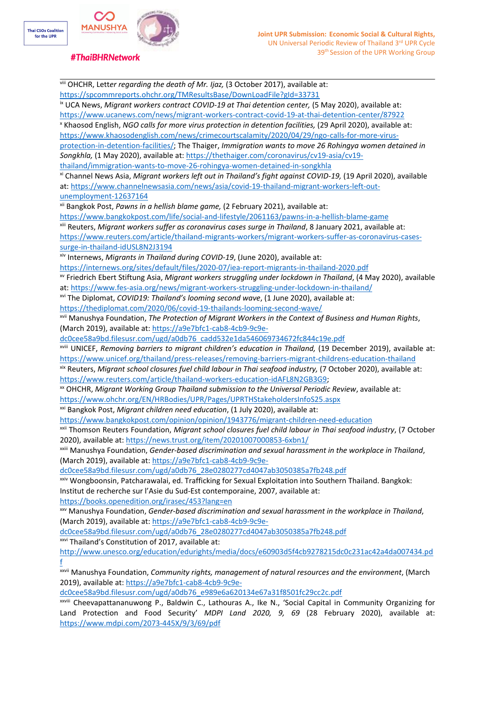

viii OHCHR, Lett*er regarding the death of Mr. Ijaz,* (3 October 2017), available at: <https://spcommreports.ohchr.org/TMResultsBase/DownLoadFile?gId=33731> ix UCA News, *Migrant workers contract COVID-19 at Thai detention center,* (5 May 2020), available at: <https://www.ucanews.com/news/migrant-workers-contract-covid-19-at-thai-detention-center/87922> x Khaosod English, *NGO calls for more virus protection in detention facilities,* (29 April 2020), available at: [https://www.khaosodenglish.com/news/crimecourtscalamity/2020/04/29/ngo-calls-for-more-virus](https://www.khaosodenglish.com/news/crimecourtscalamity/2020/04/29/ngo-calls-for-more-virus-protection-in-detention-facilities/)[protection-in-detention-facilities/](https://www.khaosodenglish.com/news/crimecourtscalamity/2020/04/29/ngo-calls-for-more-virus-protection-in-detention-facilities/); The Thaiger, *Immigration wants to move 26 Rohingya women detained in Songkhla,* (1 May 2020), available at: [https://thethaiger.com/coronavirus/cv19-asia/cv19](https://thethaiger.com/coronavirus/cv19-asia/cv19-thailand/immigration-wants-to-move-26-rohingya-women-detained-in-songkhla) [thailand/immigration-wants-to-move-26-rohingya-women-detained-in-songkhla](https://thethaiger.com/coronavirus/cv19-asia/cv19-thailand/immigration-wants-to-move-26-rohingya-women-detained-in-songkhla) xi Channel News Asia, *Migrant workers left out in Thailand'<sup>s</sup> fight against COVID-19,* (19 April 2020), available at: [https://www.channelnewsasia.com/news/asia/covid-19-thailand-migrant-workers-left-out](https://www.channelnewsasia.com/news/asia/covid-19-thailand-migrant-workers-left-out-unemployment-12637164)[unemployment-12637164](https://www.channelnewsasia.com/news/asia/covid-19-thailand-migrant-workers-left-out-unemployment-12637164) xii Bangkok Post, *Pawns in <sup>a</sup> hellish blame game,* (2 February 2021), available at: <https://www.bangkokpost.com/life/social-and-lifestyle/2061163/pawns-in-a-hellish-blame-game> xiii Reuters, *Migrant workers suffer as coronavirus cases surge in Thailand*, 8 January 2021, available at: [https://www.reuters.com/article/thailand-migrants-workers/migrant-workers-suffer-as-coronavirus-cases](https://www.reuters.com/article/thailand-migrants-workers/migrant-workers-suffer-as-coronavirus-cases-surge-in-thailand-idUSL8N2J3194)[surge-in-thailand-idUSL8N2J3194](https://www.reuters.com/article/thailand-migrants-workers/migrant-workers-suffer-as-coronavirus-cases-surge-in-thailand-idUSL8N2J3194) xiv Internews, *Migrants in Thailand during COVID-19*, (June 2020), available at: <https://internews.org/sites/default/files/2020-07/iea-report-migrants-in-thailand-2020.pdf> xv Friedrich Ebert Stiftung Asia, *Migrant workers struggling under lockdown in Thailand*, (4 May 2020), available at: <https://www.fes-asia.org/news/migrant-workers-struggling-under-lockdown-in-thailand/> xvi The Diplomat, *COVID19: Thailand'<sup>s</sup> looming second wave*, (1 June 2020), available at: <https://thediplomat.com/2020/06/covid-19-thailands-looming-second-wave/> xvii Manushya Foundation, *The Protection of Migrant Workers in the Context of Business and Human Rights*, (March 2019), available at: [https://a9e7bfc1-cab8-4cb9-9c9e](https://a9e7bfc1-cab8-4cb9-9c9e-dc0cee58a9bd.filesusr.com/ugd/a0db76_cadd532e1da546069734672fc844c19e.pdf)[dc0cee58a9bd.filesusr.com/ugd/a0db76\\_cadd532e1da546069734672fc844c19e.pdf](https://a9e7bfc1-cab8-4cb9-9c9e-dc0cee58a9bd.filesusr.com/ugd/a0db76_cadd532e1da546069734672fc844c19e.pdf) xviii UNICEF, *Removing barriers to migrant children'<sup>s</sup> education in Thailand,* (19 December 2019), available at: <https://www.unicef.org/thailand/press-releases/removing-barriers-migrant-childrens-education-thailand> xix Reuters, *Migrant school closures fuel child labour in Thai seafood industry,* (7 October 2020), available at: <https://www.reuters.com/article/thailand-workers-education-idAFL8N2GB3G9>; xx OHCHR, *Migrant Working Group Thailand submission to the Universal Periodic Review*, available at: <https://www.ohchr.org/EN/HRBodies/UPR/Pages/UPRTHStakeholdersInfoS25.aspx> xxi Bangkok Post, *Migrant children need education*, (1 July 2020), available at: <https://www.bangkokpost.com/opinion/opinion/1943776/migrant-children-need-education> xxii Thomson Reuters Foundation, *Migrant school closures fuel child labour in Thai seafood industry*, (7 October 2020), available at: <https://news.trust.org/item/20201007000853-6xbn1/> xxiii Manushya Foundation, *Gender-based discrimination and sexual harassment in the workplace in Thailand*, (March 2019), available at: [https://a9e7bfc1-cab8-4cb9-9c9e](https://a9e7bfc1-cab8-4cb9-9c9e-dc0cee58a9bd.filesusr.com/ugd/a0db76_28e0280277cd4047ab3050385a7fb248.pdf)[dc0cee58a9bd.filesusr.com/ugd/a0db76\\_28e0280277cd4047ab3050385a7fb248.pdf](https://a9e7bfc1-cab8-4cb9-9c9e-dc0cee58a9bd.filesusr.com/ugd/a0db76_28e0280277cd4047ab3050385a7fb248.pdf) xxiv Wongboonsin, Patcharawalai, ed. Trafficking for Sexual Exploitation into Southern Thailand. Bangkok: Institut de recherche sur l'Asie du Sud-Est contemporaine, 2007, available at: <https://books.openedition.org/irasec/453?lang=en> xxv Manushya Foundation, *Gender-based discrimination and sexual harassment in the workplace in Thailand*, (March 2019), available at: [https://a9e7bfc1-cab8-4cb9-9c9e](https://a9e7bfc1-cab8-4cb9-9c9e-dc0cee58a9bd.filesusr.com/ugd/a0db76_28e0280277cd4047ab3050385a7fb248.pdf)[dc0cee58a9bd.filesusr.com/ugd/a0db76\\_28e0280277cd4047ab3050385a7fb248.pdf](https://a9e7bfc1-cab8-4cb9-9c9e-dc0cee58a9bd.filesusr.com/ugd/a0db76_28e0280277cd4047ab3050385a7fb248.pdf) xxvi Thailand'<sup>s</sup> Constitution of 2017, available at: [http://www.unesco.org/education/edurights/media/docs/e60903d5f4cb9278215dc0c231ac42a4da007434.pd](http://www.unesco.org/education/edurights/media/docs/e60903d5f4cb9278215dc0c231ac42a4da007434.pdf) [f](http://www.unesco.org/education/edurights/media/docs/e60903d5f4cb9278215dc0c231ac42a4da007434.pdf) xxvii Manushya Foundation, *Community rights, management of natural resources and the environment*, (March 2019), available at: [https://a9e7bfc1-cab8-4cb9-9c9e](https://a9e7bfc1-cab8-4cb9-9c9e-dc0cee58a9bd.filesusr.com/ugd/a0db76_e989e6a620134e67a31f8501fc29cc2c.pdf)[dc0cee58a9bd.filesusr.com/ugd/a0db76\\_e989e6a620134e67a31f8501fc29cc2c.pdf](https://a9e7bfc1-cab8-4cb9-9c9e-dc0cee58a9bd.filesusr.com/ugd/a0db76_e989e6a620134e67a31f8501fc29cc2c.pdf) xxviii Cheevapattananuwong P., Baldwin C., Lathouras A., Ike N., 'Social Capital in Community Organizing for Land Protection and Food Security' *MDPI Land 2020, 9, 69* (28 February 2020), available at:

<https://www.mdpi.com/2073-445X/9/3/69/pdf>